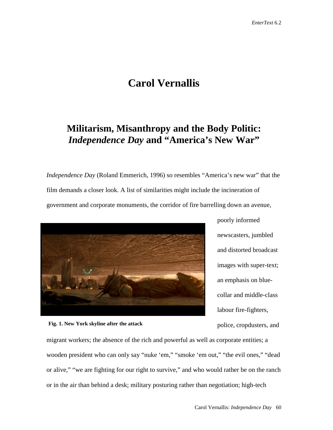# **Carol Vernallis**

# **Militarism, Misanthropy and the Body Politic:** *Independence Day* **and "America's New War"**

*Independence Day* (Roland Emmerich, 1996) so resembles "America's new war" that the film demands a closer look. A list of similarities might include the incineration of government and corporate monuments, the corridor of fire barrelling down an avenue,







migrant workers; the absence of the rich and powerful as well as corporate entities; a wooden president who can only say "nuke 'em," "smoke 'em out," "the evil ones," "dead or alive," "we are fighting for our right to survive," and who would rather be on the ranch or in the air than behind a desk; military posturing rather than negotiation; high-tech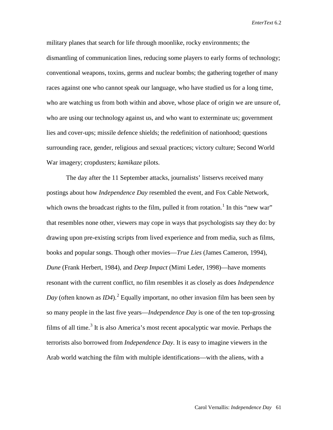military planes that search for life through moonlike, rocky environments; the dismantling of communication lines, reducing some players to early forms of technology; conventional weapons, toxins, germs and nuclear bombs; the gathering together of many races against one who cannot speak our language, who have studied us for a long time, who are watching us from both within and above, whose place of origin we are unsure of, who are using our technology against us, and who want to exterminate us; government lies and cover-ups; missile defence shields; the redefinition of nationhood; questions surrounding race, gender, religious and sexual practices; victory culture; Second World War imagery; cropdusters; *kamikaze* pilots.

The day after the 11 September attacks, journalists' listservs received many postings about how *Independence Day* resembled the event, and Fox Cable Network, which owns the broadcast rights to the film, pulled it from rotation.<sup>[1](#page-44-0)</sup> In this "new war" that resembles none other, viewers may cope in ways that psychologists say they do: by drawing upon pre-existing scripts from lived experience and from media, such as films, books and popular songs. Though other movies—*True Lies* (James Cameron, 1994), *Dune* (Frank Herbert, 1984), and *Deep Impact* (Mimi Leder, 1998)—have moments resonant with the current conflict, no film resembles it as closely as does *Independence Day* (often known as *ID4*).<sup>[2](#page-44-1)</sup> Equally important, no other invasion film has been seen by so many people in the last five years—*Independence Day* is one of the ten top-grossing films of all time.<sup>[3](#page-44-2)</sup> It is also America's most recent apocalyptic war movie. Perhaps the terrorists also borrowed from *Independence Day*. It is easy to imagine viewers in the Arab world watching the film with multiple identifications—with the aliens, with a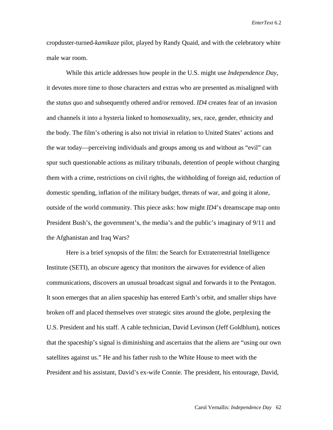cropduster-turned-*kamikaze* pilot, played by Randy Quaid, and with the celebratory white male war room.

While this article addresses how people in the U.S. might use *Independence Day*, it devotes more time to those characters and extras who are presented as misaligned with the *status quo* and subsequently othered and/or removed. *ID4* creates fear of an invasion and channels it into a hysteria linked to homosexuality, sex, race, gender, ethnicity and the body. The film's othering is also not trivial in relation to United States' actions and the war today—perceiving individuals and groups among us and without as "evil" can spur such questionable actions as military tribunals, detention of people without charging them with a crime, restrictions on civil rights, the withholding of foreign aid, reduction of domestic spending, inflation of the military budget, threats of war, and going it alone, outside of the world community. This piece asks: how might *ID4*'s dreamscape map onto President Bush's, the government's, the media's and the public's imaginary of 9/11 and the Afghanistan and Iraq Wars?

Here is a brief synopsis of the film: the Search for Extraterrestrial Intelligence Institute (SETI), an obscure agency that monitors the airwaves for evidence of alien communications, discovers an unusual broadcast signal and forwards it to the Pentagon. It soon emerges that an alien spaceship has entered Earth's orbit, and smaller ships have broken off and placed themselves over strategic sites around the globe, perplexing the U.S. President and his staff. A cable technician, David Levinson (Jeff Goldblum), notices that the spaceship's signal is diminishing and ascertains that the aliens are "using our own satellites against us." He and his father rush to the White House to meet with the President and his assistant, David's ex-wife Connie. The president, his entourage, David,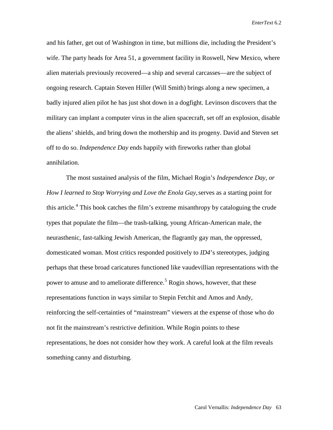and his father, get out of Washington in time, but millions die, including the President's wife. The party heads for Area 51, a government facility in Roswell, New Mexico, where alien materials previously recovered—a ship and several carcasses—are the subject of ongoing research. Captain Steven Hiller (Will Smith) brings along a new specimen, a badly injured alien pilot he has just shot down in a dogfight. Levinson discovers that the military can implant a computer virus in the alien spacecraft, set off an explosion, disable the aliens' shields, and bring down the mothership and its progeny. David and Steven set off to do so. *Independence Day* ends happily with fireworks rather than global annihilation.

The most sustained analysis of the film, Michael Rogin's *Independence Day, or How I learned to Stop Worrying and Love the Enola Gay, serves as a starting point for* this article.<sup>[4](#page-45-0)</sup> This book catches the film's extreme misanthropy by cataloguing the crude types that populate the film—the trash-talking, young African-American male, the neurasthenic, fast-talking Jewish American, the flagrantly gay man, the oppressed, domesticated woman. Most critics responded positively to *ID4*'s stereotypes, judging perhaps that these broad caricatures functioned like vaudevillian representations with the power to amuse and to ameliorate difference.<sup>[5](#page-45-1)</sup> Rogin shows, however, that these representations function in ways similar to Stepin Fetchit and Amos and Andy, reinforcing the self-certainties of "mainstream" viewers at the expense of those who do not fit the mainstream's restrictive definition. While Rogin points to these representations, he does not consider how they work. A careful look at the film reveals something canny and disturbing.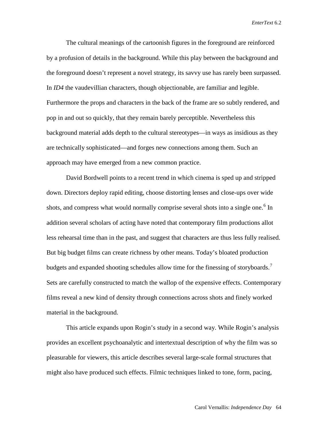The cultural meanings of the cartoonish figures in the foreground are reinforced by a profusion of details in the background. While this play between the background and the foreground doesn't represent a novel strategy, its savvy use has rarely been surpassed. In *ID4* the vaudevillian characters, though objectionable, are familiar and legible. Furthermore the props and characters in the back of the frame are so subtly rendered, and pop in and out so quickly, that they remain barely perceptible. Nevertheless this background material adds depth to the cultural stereotypes—in ways as insidious as they are technically sophisticated—and forges new connections among them. Such an approach may have emerged from a new common practice.

David Bordwell points to a recent trend in which cinema is sped up and stripped down. Directors deploy rapid editing, choose distorting lenses and close-ups over wide shots, and compress what would normally comprise several shots into a single one.<sup>[6](#page-46-0)</sup> In addition several scholars of acting have noted that contemporary film productions allot less rehearsal time than in the past, and suggest that characters are thus less fully realised. But big budget films can create richness by other means. Today's bloated production budgets and expanded shooting schedules allow time for the finessing of storyboards.<sup>[7](#page-46-1)</sup> Sets are carefully constructed to match the wallop of the expensive effects. Contemporary films reveal a new kind of density through connections across shots and finely worked material in the background.

This article expands upon Rogin's study in a second way. While Rogin's analysis provides an excellent psychoanalytic and intertextual description of why the film was so pleasurable for viewers, this article describes several large-scale formal structures that might also have produced such effects. Filmic techniques linked to tone, form, pacing,

Carol Vernallis: *Independence Day* 64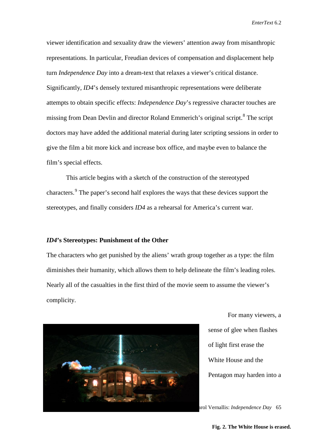viewer identification and sexuality draw the viewers' attention away from misanthropic representations. In particular, Freudian devices of compensation and displacement help turn *Independence Day* into a dream-text that relaxes a viewer's critical distance. Significantly, *ID4*'s densely textured misanthropic representations were deliberate attempts to obtain specific effects: *Independence Day*'s regressive character touches are missing from Dean Devlin and director Roland Emmerich's original script.<sup>[8](#page-47-0)</sup> The script doctors may have added the additional material during later scripting sessions in order to give the film a bit more kick and increase box office, and maybe even to balance the film's special effects.

This article begins with a sketch of the construction of the stereotyped characters.<sup>[9](#page-47-1)</sup> The paper's second half explores the ways that these devices support the stereotypes, and finally considers *ID4* as a rehearsal for America's current war.

#### *ID4***'s Stereotypes: Punishment of the Other**

The characters who get punished by the aliens' wrath group together as a type: the film diminishes their humanity, which allows them to help delineate the film's leading roles. Nearly all of the casualties in the first third of the movie seem to assume the viewer's complicity.



For many viewers, a sense of glee when flashes of light first erase the White House and the Pentagon may harden into a

Carol Vernallis: *Independence Day* 65

**Fig. 2. The White House is erased.**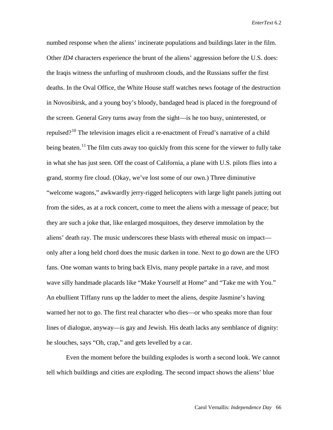numbed response when the aliens' incinerate populations and buildings later in the film. Other *ID4* characters experience the brunt of the aliens' aggression before the U.S. does: the Iraqis witness the unfurling of mushroom clouds, and the Russians suffer the first deaths. In the Oval Office, the White House staff watches news footage of the destruction in Novosibirsk, and a young boy's bloody, bandaged head is placed in the foreground of the screen. General Grey turns away from the sight—is he too busy, uninterested, or repulsed?<sup>[10](#page-48-0)</sup> The television images elicit a re-enactment of Freud's narrative of a child being beaten.<sup>[11](#page-48-1)</sup> The film cuts away too quickly from this scene for the viewer to fully take in what she has just seen. Off the coast of California, a plane with U.S. pilots flies into a grand, stormy fire cloud. (Okay, we've lost some of our own.) Three diminutive "welcome wagons," awkwardly jerry-rigged helicopters with large light panels jutting out from the sides, as at a rock concert, come to meet the aliens with a message of peace; but they are such a joke that, like enlarged mosquitoes, they deserve immolation by the aliens' death ray. The music underscores these blasts with ethereal music on impact only after a long held chord does the music darken in tone. Next to go down are the UFO fans. One woman wants to bring back Elvis, many people partake in a rave, and most wave silly handmade placards like "Make Yourself at Home" and "Take me with You." An ebullient Tiffany runs up the ladder to meet the aliens, despite Jasmine's having warned her not to go. The first real character who dies—or who speaks more than four lines of dialogue, anyway—is gay and Jewish. His death lacks any semblance of dignity: he slouches, says "Oh, crap," and gets levelled by a car.

Even the moment before the building explodes is worth a second look. We cannot tell which buildings and cities are exploding. The second impact shows the aliens' blue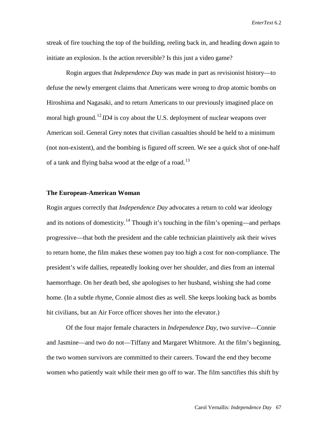streak of fire touching the top of the building, reeling back in, and heading down again to initiate an explosion. Is the action reversible? Is this just a video game?

Rogin argues that *Independence Day* was made in part as revisionist history—to defuse the newly emergent claims that Americans were wrong to drop atomic bombs on Hiroshima and Nagasaki, and to return Americans to our previously imagined place on moral high ground.<sup>[12](#page-48-2)</sup> *ID4* is coy about the U.S. deployment of nuclear weapons over American soil. General Grey notes that civilian casualties should be held to a minimum (not non-existent), and the bombing is figured off screen. We see a quick shot of one-half of a tank and flying balsa wood at the edge of a road.<sup>[13](#page-48-3)</sup>

#### **The European-American Woman**

Rogin argues correctly that *Independence Day* advocates a return to cold war ideology and its notions of domesticity.<sup>[14](#page-48-4)</sup> Though it's touching in the film's opening—and perhaps progressive—that both the president and the cable technician plaintively ask their wives to return home, the film makes these women pay too high a cost for non-compliance. The president's wife dallies, repeatedly looking over her shoulder, and dies from an internal haemorrhage. On her death bed, she apologises to her husband, wishing she had come home. (In a subtle rhyme, Connie almost dies as well. She keeps looking back as bombs hit civilians, but an Air Force officer shoves her into the elevator.)

Of the four major female characters in *Independence Day*, two survive—Connie and Jasmine—and two do not—Tiffany and Margaret Whitmore. At the film's beginning, the two women survivors are committed to their careers. Toward the end they become women who patiently wait while their men go off to war. The film sanctifies this shift by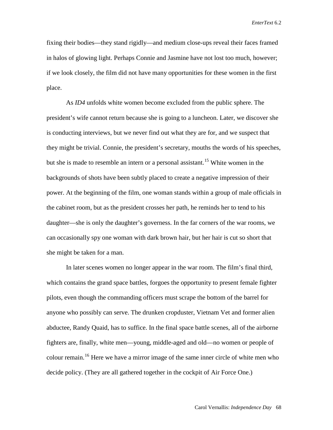fixing their bodies—they stand rigidly—and medium close-ups reveal their faces framed in halos of glowing light. Perhaps Connie and Jasmine have not lost too much, however; if we look closely, the film did not have many opportunities for these women in the first place.

As *ID4* unfolds white women become excluded from the public sphere. The president's wife cannot return because she is going to a luncheon. Later, we discover she is conducting interviews, but we never find out what they are for, and we suspect that they might be trivial. Connie, the president's secretary, mouths the words of his speeches, but she is made to resemble an intern or a personal assistant.<sup>[15](#page-48-5)</sup> White women in the backgrounds of shots have been subtly placed to create a negative impression of their power. At the beginning of the film, one woman stands within a group of male officials in the cabinet room, but as the president crosses her path, he reminds her to tend to his daughter—she is only the daughter's governess. In the far corners of the war rooms, we can occasionally spy one woman with dark brown hair, but her hair is cut so short that she might be taken for a man.

In later scenes women no longer appear in the war room. The film's final third, which contains the grand space battles, forgoes the opportunity to present female fighter pilots, even though the commanding officers must scrape the bottom of the barrel for anyone who possibly can serve. The drunken cropduster, Vietnam Vet and former alien abductee, Randy Quaid, has to suffice. In the final space battle scenes, all of the airborne fighters are, finally, white men—young, middle-aged and old—no women or people of colour remain.[16](#page-48-6) Here we have a mirror image of the same inner circle of white men who decide policy. (They are all gathered together in the cockpit of Air Force One.)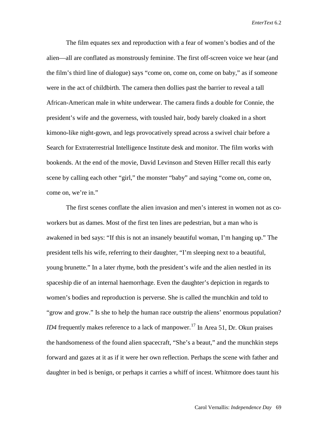The film equates sex and reproduction with a fear of women's bodies and of the alien—all are conflated as monstrously feminine. The first off-screen voice we hear (and the film's third line of dialogue) says "come on, come on, come on baby," as if someone were in the act of childbirth. The camera then dollies past the barrier to reveal a tall African-American male in white underwear. The camera finds a double for Connie, the president's wife and the governess, with tousled hair, body barely cloaked in a short kimono-like night-gown, and legs provocatively spread across a swivel chair before a Search for Extraterrestrial Intelligence Institute desk and monitor. The film works with bookends. At the end of the movie, David Levinson and Steven Hiller recall this early scene by calling each other "girl," the monster "baby" and saying "come on, come on, come on, we're in."

The first scenes conflate the alien invasion and men's interest in women not as coworkers but as dames. Most of the first ten lines are pedestrian, but a man who is awakened in bed says: "If this is not an insanely beautiful woman, I'm hanging up." The president tells his wife, referring to their daughter, "I'm sleeping next to a beautiful, young brunette." In a later rhyme, both the president's wife and the alien nestled in its spaceship die of an internal haemorrhage. Even the daughter's depiction in regards to women's bodies and reproduction is perverse. She is called the munchkin and told to "grow and grow." Is she to help the human race outstrip the aliens' enormous population? *ID4* frequently makes reference to a lack of manpower.<sup>17</sup> In Area 51, Dr. Okun praises the handsomeness of the found alien spacecraft, "She's a beaut," and the munchkin steps forward and gazes at it as if it were her own reflection. Perhaps the scene with father and daughter in bed is benign, or perhaps it carries a whiff of incest. Whitmore does taunt his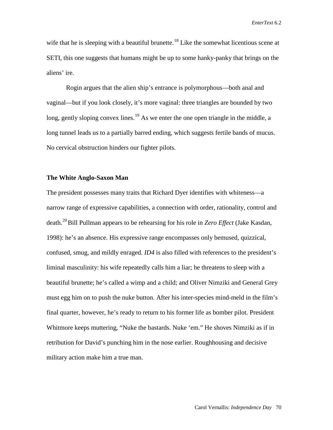wife that he is sleeping with a beautiful brunette.<sup>[18](#page-48-8)</sup> Like the somewhat licentious scene at SETI, this one suggests that humans might be up to some hanky-panky that brings on the aliens' ire.

Rogin argues that the alien ship's entrance is polymorphous—both anal and vaginal—but if you look closely, it's more vaginal: three triangles are bounded by two long, gently sloping convex lines.<sup>[19](#page-48-9)</sup> As we enter the one open triangle in the middle, a long tunnel leads us to a partially barred ending, which suggests fertile bands of mucus. No cervical obstruction hinders our fighter pilots.

## **The White Anglo-Saxon Man**

The president possesses many traits that Richard Dyer identifies with whiteness—a narrow range of expressive capabilities, a connection with order, rationality, control and death.<sup>[20](#page-48-10)</sup>Bill Pullman appears to be rehearsing for his role in *Zero Effect* (Jake Kasdan, 1998): he's an absence. His expressive range encompasses only bemused, quizzical, confused, smug, and mildly enraged. *ID4* is also filled with references to the president's liminal masculinity: his wife repeatedly calls him a liar; he threatens to sleep with a beautiful brunette; he's called a wimp and a child; and Oliver Nimziki and General Grey must egg him on to push the nuke button. After his inter-species mind-meld in the film's final quarter, however, he's ready to return to his former life as bomber pilot. President Whitmore keeps muttering, "Nuke the bastards. Nuke 'em." He shoves Nimziki as if in retribution for David's punching him in the nose earlier. Roughhousing and decisive military action make him a true man.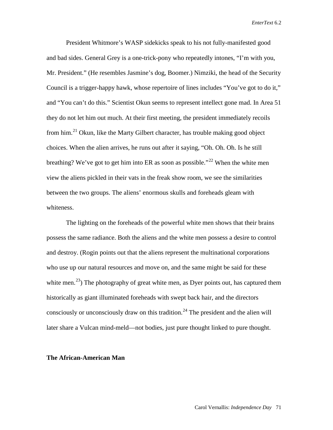President Whitmore's WASP sidekicks speak to his not fully-manifested good and bad sides. General Grey is a one-trick-pony who repeatedly intones, "I'm with you, Mr. President." (He resembles Jasmine's dog, Boomer.) Nimziki, the head of the Security Council is a trigger-happy hawk, whose repertoire of lines includes "You've got to do it," and "You can't do this." Scientist Okun seems to represent intellect gone mad. In Area 51 they do not let him out much. At their first meeting, the president immediately recoils from him.[21](#page-48-11) Okun, like the Marty Gilbert character, has trouble making good object choices. When the alien arrives, he runs out after it saying, "Oh. Oh. Oh. Is he still breathing? We've got to get him into ER as soon as possible."<sup>[22](#page-48-12)</sup> When the white men view the aliens pickled in their vats in the freak show room, we see the similarities between the two groups. The aliens' enormous skulls and foreheads gleam with whiteness.

The lighting on the foreheads of the powerful white men shows that their brains possess the same radiance. Both the aliens and the white men possess a desire to control and destroy. (Rogin points out that the aliens represent the multinational corporations who use up our natural resources and move on, and the same might be said for these white men.<sup>23</sup>) The photography of great white men, as Dyer points out, has captured them historically as giant illuminated foreheads with swept back hair, and the directors consciously or unconsciously draw on this tradition.<sup>[24](#page-48-14)</sup> The president and the alien will later share a Vulcan mind-meld—not bodies, just pure thought linked to pure thought.

#### **The African-American Man**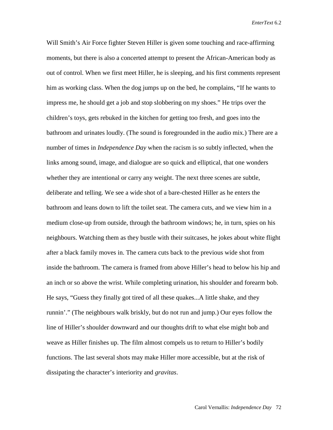Will Smith's Air Force fighter Steven Hiller is given some touching and race-affirming moments, but there is also a concerted attempt to present the African-American body as out of control. When we first meet Hiller, he is sleeping, and his first comments represent him as working class. When the dog jumps up on the bed, he complains, "If he wants to impress me, he should get a job and stop slobbering on my shoes." He trips over the children's toys, gets rebuked in the kitchen for getting too fresh, and goes into the bathroom and urinates loudly. (The sound is foregrounded in the audio mix.) There are a number of times in *Independence Day* when the racism is so subtly inflected, when the links among sound, image, and dialogue are so quick and elliptical, that one wonders whether they are intentional or carry any weight. The next three scenes are subtle, deliberate and telling. We see a wide shot of a bare-chested Hiller as he enters the bathroom and leans down to lift the toilet seat. The camera cuts, and we view him in a medium close-up from outside, through the bathroom windows; he, in turn, spies on his neighbours. Watching them as they bustle with their suitcases, he jokes about white flight after a black family moves in. The camera cuts back to the previous wide shot from inside the bathroom. The camera is framed from above Hiller's head to below his hip and an inch or so above the wrist. While completing urination, his shoulder and forearm bob. He says, "Guess they finally got tired of all these quakes...A little shake, and they runnin'." (The neighbours walk briskly, but do not run and jump.) Our eyes follow the line of Hiller's shoulder downward and our thoughts drift to what else might bob and weave as Hiller finishes up. The film almost compels us to return to Hiller's bodily functions. The last several shots may make Hiller more accessible, but at the risk of dissipating the character's interiority and *gravitas*.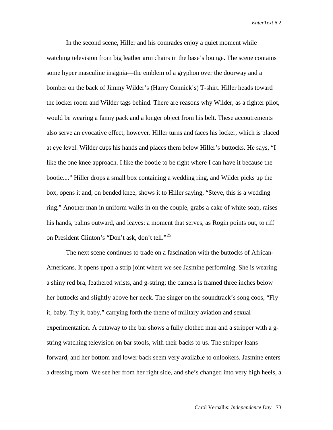In the second scene, Hiller and his comrades enjoy a quiet moment while watching television from big leather arm chairs in the base's lounge. The scene contains some hyper masculine insignia—the emblem of a gryphon over the doorway and a bomber on the back of Jimmy Wilder's (Harry Connick's) T-shirt. Hiller heads toward the locker room and Wilder tags behind. There are reasons why Wilder, as a fighter pilot, would be wearing a fanny pack and a longer object from his belt. These accoutrements also serve an evocative effect, however. Hiller turns and faces his locker, which is placed at eye level. Wilder cups his hands and places them below Hiller's buttocks. He says, "I like the one knee approach. I like the bootie to be right where I can have it because the bootie...." Hiller drops a small box containing a wedding ring, and Wilder picks up the box, opens it and, on bended knee, shows it to Hiller saying, "Steve, this is a wedding ring." Another man in uniform walks in on the couple, grabs a cake of white soap, raises his hands, palms outward, and leaves: a moment that serves, as Rogin points out, to riff on President Clinton's "Don't ask, don't tell."<sup>25</sup>

The next scene continues to trade on a fascination with the buttocks of African-Americans. It opens upon a strip joint where we see Jasmine performing. She is wearing a shiny red bra, feathered wrists, and g-string; the camera is framed three inches below her buttocks and slightly above her neck. The singer on the soundtrack's song coos, "Fly it, baby. Try it, baby," carrying forth the theme of military aviation and sexual experimentation. A cutaway to the bar shows a fully clothed man and a stripper with a gstring watching television on bar stools, with their backs to us. The stripper leans forward, and her bottom and lower back seem very available to onlookers. Jasmine enters a dressing room. We see her from her right side, and she's changed into very high heels, a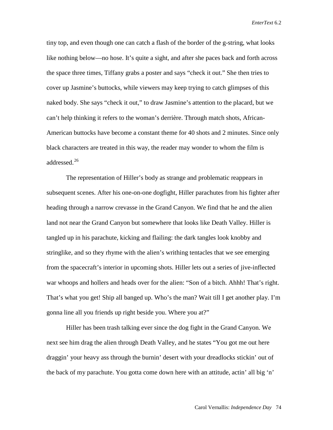tiny top, and even though one can catch a flash of the border of the g-string, what looks like nothing below—no hose. It's quite a sight, and after she paces back and forth across the space three times, Tiffany grabs a poster and says "check it out." She then tries to cover up Jasmine's buttocks, while viewers may keep trying to catch glimpses of this naked body. She says "check it out," to draw Jasmine's attention to the placard, but we can't help thinking it refers to the woman's derrière. Through match shots, African-American buttocks have become a constant theme for 40 shots and 2 minutes. Since only black characters are treated in this way, the reader may wonder to whom the film is addressed.<sup>[26](#page-48-16)</sup>

The representation of Hiller's body as strange and problematic reappears in subsequent scenes. After his one-on-one dogfight, Hiller parachutes from his fighter after heading through a narrow crevasse in the Grand Canyon. We find that he and the alien land not near the Grand Canyon but somewhere that looks like Death Valley. Hiller is tangled up in his parachute, kicking and flailing: the dark tangles look knobby and stringlike, and so they rhyme with the alien's writhing tentacles that we see emerging from the spacecraft's interior in upcoming shots. Hiller lets out a series of jive-inflected war whoops and hollers and heads over for the alien: "Son of a bitch. Ahhh! That's right. That's what you get! Ship all banged up. Who's the man? Wait till I get another play. I'm gonna line all you friends up right beside you. Where you at?"

Hiller has been trash talking ever since the dog fight in the Grand Canyon. We next see him drag the alien through Death Valley, and he states "You got me out here draggin' your heavy ass through the burnin' desert with your dreadlocks stickin' out of the back of my parachute. You gotta come down here with an attitude, actin' all big 'n'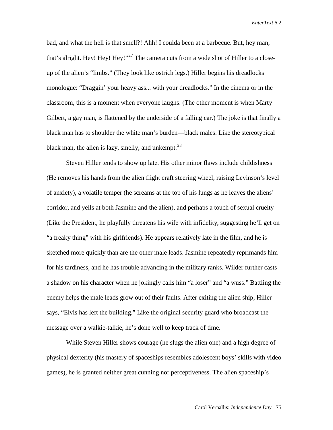bad, and what the hell is that smell?! Ahh! I coulda been at a barbecue. But, hey man, that's alright. Hey! Hey!  $\text{Hey!} \cdot \frac{127}{7}$  The camera cuts from a wide shot of Hiller to a closeup of the alien's "limbs." (They look like ostrich legs.) Hiller begins his dreadlocks monologue: "Draggin' your heavy ass... with your dreadlocks." In the cinema or in the classroom, this is a moment when everyone laughs. (The other moment is when Marty Gilbert, a gay man, is flattened by the underside of a falling car.) The joke is that finally a black man has to shoulder the white man's burden—black males. Like the stereotypical black man, the alien is lazy, smelly, and unkempt. $^{28}$  $^{28}$  $^{28}$ 

Steven Hiller tends to show up late. His other minor flaws include childishness (He removes his hands from the alien flight craft steering wheel, raising Levinson's level of anxiety), a volatile temper (he screams at the top of his lungs as he leaves the aliens' corridor, and yells at both Jasmine and the alien), and perhaps a touch of sexual cruelty (Like the President, he playfully threatens his wife with infidelity, suggesting he'll get on "a freaky thing" with his girlfriends). He appears relatively late in the film, and he is sketched more quickly than are the other male leads. Jasmine repeatedly reprimands him for his tardiness, and he has trouble advancing in the military ranks. Wilder further casts a shadow on his character when he jokingly calls him "a loser" and "a wuss." Battling the enemy helps the male leads grow out of their faults. After exiting the alien ship, Hiller says, "Elvis has left the building." Like the original security guard who broadcast the message over a walkie-talkie, he's done well to keep track of time.

While Steven Hiller shows courage (he slugs the alien one) and a high degree of physical dexterity (his mastery of spaceships resembles adolescent boys' skills with video games), he is granted neither great cunning nor perceptiveness. The alien spaceship's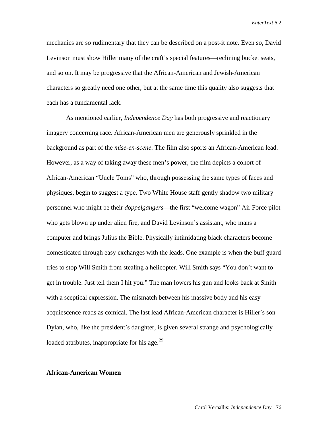mechanics are so rudimentary that they can be described on a post-it note. Even so, David Levinson must show Hiller many of the craft's special features—reclining bucket seats, and so on. It may be progressive that the African-American and Jewish-American characters so greatly need one other, but at the same time this quality also suggests that each has a fundamental lack.

As mentioned earlier, *Independence Day* has both progressive and reactionary imagery concerning race. African-American men are generously sprinkled in the background as part of the *mise-en-scene*. The film also sports an African-American lead. However, as a way of taking away these men's power, the film depicts a cohort of African-American "Uncle Toms" who, through possessing the same types of faces and physiques, begin to suggest a type. Two White House staff gently shadow two military personnel who might be their *doppelgangers*—the first "welcome wagon" Air Force pilot who gets blown up under alien fire, and David Levinson's assistant, who mans a computer and brings Julius the Bible. Physically intimidating black characters become domesticated through easy exchanges with the leads. One example is when the buff guard tries to stop Will Smith from stealing a helicopter. Will Smith says "You don't want to get in trouble. Just tell them I hit you." The man lowers his gun and looks back at Smith with a sceptical expression. The mismatch between his massive body and his easy acquiescence reads as comical. The last lead African-American character is Hiller's son Dylan, who, like the president's daughter, is given several strange and psychologically loaded attributes, inappropriate for his age.<sup>[29](#page-48-19)</sup>

#### **African-American Women**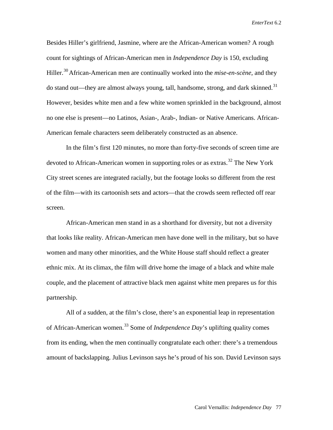Besides Hiller's girlfriend, Jasmine, where are the African-American women? A rough count for sightings of African-American men in *Independence Day* is 150, excluding Hiller.<sup>[30](#page-48-20)</sup> African-American men are continually worked into the *mise-en-scène*, and they do stand out—they are almost always young, tall, handsome, strong, and dark skinned.<sup>[31](#page-48-21)</sup> However, besides white men and a few white women sprinkled in the background, almost no one else is present—no Latinos, Asian-, Arab-, Indian- or Native Americans. African-American female characters seem deliberately constructed as an absence.

In the film's first 120 minutes, no more than forty-five seconds of screen time are devoted to African-American women in supporting roles or as extras.<sup>[32](#page-48-22)</sup> The New York City street scenes are integrated racially, but the footage looks so different from the rest of the film—with its cartoonish sets and actors—that the crowds seem reflected off rear screen.

African-American men stand in as a shorthand for diversity, but not a diversity that looks like reality. African-American men have done well in the military, but so have women and many other minorities, and the White House staff should reflect a greater ethnic mix. At its climax, the film will drive home the image of a black and white male couple, and the placement of attractive black men against white men prepares us for this partnership.

All of a sudden, at the film's close, there's an exponential leap in representation of African-American women.[33](#page-48-23) Some of *Independence Day*'s uplifting quality comes from its ending, when the men continually congratulate each other: there's a tremendous amount of backslapping. Julius Levinson says he's proud of his son. David Levinson says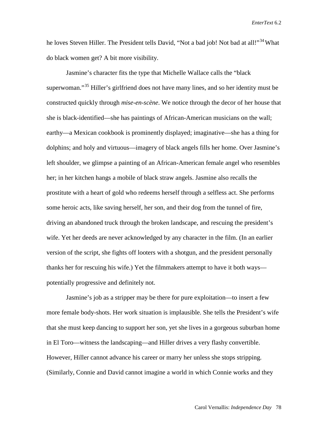he loves Steven Hiller. The President tells David, "Not a bad job! Not bad at all!"<sup>[34](#page-48-12)</sup> What do black women get? A bit more visibility.

Jasmine's character fits the type that Michelle Wallace calls the "black superwoman."<sup>[35](#page-48-24)</sup> Hiller's girlfriend does not have many lines, and so her identity must be constructed quickly through *mise-en-scène*. We notice through the decor of her house that she is black-identified—she has paintings of African-American musicians on the wall; earthy—a Mexican cookbook is prominently displayed; imaginative—she has a thing for dolphins; and holy and virtuous—imagery of black angels fills her home. Over Jasmine's left shoulder, we glimpse a painting of an African-American female angel who resembles her; in her kitchen hangs a mobile of black straw angels. Jasmine also recalls the prostitute with a heart of gold who redeems herself through a selfless act. She performs some heroic acts, like saving herself, her son, and their dog from the tunnel of fire, driving an abandoned truck through the broken landscape, and rescuing the president's wife. Yet her deeds are never acknowledged by any character in the film. (In an earlier version of the script, she fights off looters with a shotgun, and the president personally thanks her for rescuing his wife.) Yet the filmmakers attempt to have it both ways potentially progressive and definitely not.

Jasmine's job as a stripper may be there for pure exploitation—to insert a few more female body-shots. Her work situation is implausible. She tells the President's wife that she must keep dancing to support her son, yet she lives in a gorgeous suburban home in El Toro—witness the landscaping—and Hiller drives a very flashy convertible. However, Hiller cannot advance his career or marry her unless she stops stripping. (Similarly, Connie and David cannot imagine a world in which Connie works and they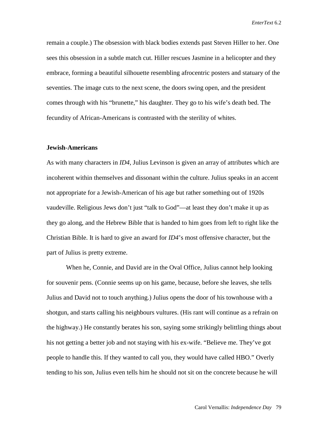remain a couple.) The obsession with black bodies extends past Steven Hiller to her. One sees this obsession in a subtle match cut. Hiller rescues Jasmine in a helicopter and they embrace, forming a beautiful silhouette resembling afrocentric posters and statuary of the seventies. The image cuts to the next scene, the doors swing open, and the president comes through with his "brunette," his daughter. They go to his wife's death bed. The fecundity of African-Americans is contrasted with the sterility of whites.

#### **Jewish**-**Americans**

As with many characters in *ID4*, Julius Levinson is given an array of attributes which are incoherent within themselves and dissonant within the culture. Julius speaks in an accent not appropriate for a Jewish-American of his age but rather something out of 1920s vaudeville. Religious Jews don't just "talk to God"—at least they don't make it up as they go along, and the Hebrew Bible that is handed to him goes from left to right like the Christian Bible. It is hard to give an award for *ID4*'s most offensive character, but the part of Julius is pretty extreme.

When he, Connie, and David are in the Oval Office, Julius cannot help looking for souvenir pens. (Connie seems up on his game, because, before she leaves, she tells Julius and David not to touch anything.) Julius opens the door of his townhouse with a shotgun, and starts calling his neighbours vultures. (His rant will continue as a refrain on the highway.) He constantly berates his son, saying some strikingly belittling things about his not getting a better job and not staying with his ex-wife. "Believe me. They've got people to handle this. If they wanted to call you, they would have called HBO." Overly tending to his son, Julius even tells him he should not sit on the concrete because he will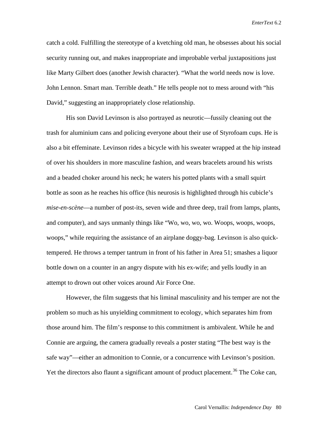catch a cold. Fulfilling the stereotype of a kvetching old man, he obsesses about his social security running out, and makes inappropriate and improbable verbal juxtapositions just like Marty Gilbert does (another Jewish character). "What the world needs now is love. John Lennon. Smart man. Terrible death." He tells people not to mess around with "his David," suggesting an inappropriately close relationship.

His son David Levinson is also portrayed as neurotic—fussily cleaning out the trash for aluminium cans and policing everyone about their use of Styrofoam cups. He is also a bit effeminate. Levinson rides a bicycle with his sweater wrapped at the hip instead of over his shoulders in more masculine fashion, and wears bracelets around his wrists and a beaded choker around his neck; he waters his potted plants with a small squirt bottle as soon as he reaches his office (his neurosis is highlighted through his cubicle's *mise-en-scène*—a number of post-its, seven wide and three deep, trail from lamps, plants, and computer), and says unmanly things like "Wo, wo, wo, wo. Woops, woops, woops, woops," while requiring the assistance of an airplane doggy-bag. Levinson is also quicktempered. He throws a temper tantrum in front of his father in Area 51; smashes a liquor bottle down on a counter in an angry dispute with his ex-wife; and yells loudly in an attempt to drown out other voices around Air Force One.

However, the film suggests that his liminal masculinity and his temper are not the problem so much as his unyielding commitment to ecology, which separates him from those around him. The film's response to this commitment is ambivalent. While he and Connie are arguing, the camera gradually reveals a poster stating "The best way is the safe way"—either an admonition to Connie, or a concurrence with Levinson's position. Yet the directors also flaunt a significant amount of product placement.<sup>[36](#page-48-14)</sup> The Coke can,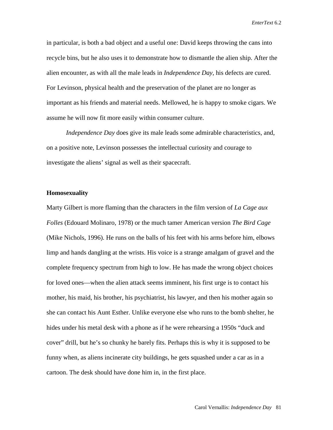in particular, is both a bad object and a useful one: David keeps throwing the cans into recycle bins, but he also uses it to demonstrate how to dismantle the alien ship. After the alien encounter, as with all the male leads in *Independence Day*, his defects are cured. For Levinson, physical health and the preservation of the planet are no longer as important as his friends and material needs. Mellowed, he is happy to smoke cigars. We assume he will now fit more easily within consumer culture.

*Independence Day* does give its male leads some admirable characteristics, and, on a positive note, Levinson possesses the intellectual curiosity and courage to investigate the aliens' signal as well as their spacecraft.

#### **Homosexuality**

Marty Gilbert is more flaming than the characters in the film version of *La Cage aux Folles* (Edouard Molinaro, 1978) or the much tamer American version *The Bird Cage*  (Mike Nichols, 1996). He runs on the balls of his feet with his arms before him, elbows limp and hands dangling at the wrists. His voice is a strange amalgam of gravel and the complete frequency spectrum from high to low. He has made the wrong object choices for loved ones—when the alien attack seems imminent, his first urge is to contact his mother, his maid, his brother, his psychiatrist, his lawyer, and then his mother again so she can contact his Aunt Esther. Unlike everyone else who runs to the bomb shelter, he hides under his metal desk with a phone as if he were rehearsing a 1950s "duck and cover" drill, but he's so chunky he barely fits. Perhaps this is why it is supposed to be funny when, as aliens incinerate city buildings, he gets squashed under a car as in a cartoon. The desk should have done him in, in the first place.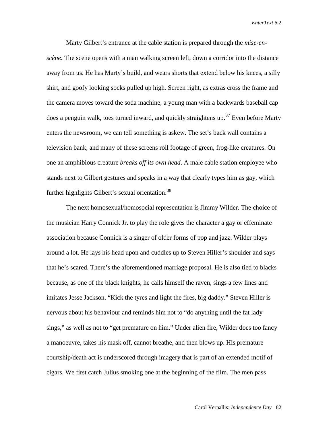Marty Gilbert's entrance at the cable station is prepared through the *mise-enscène*. The scene opens with a man walking screen left, down a corridor into the distance away from us. He has Marty's build, and wears shorts that extend below his knees, a silly shirt, and goofy looking socks pulled up high. Screen right, as extras cross the frame and the camera moves toward the soda machine, a young man with a backwards baseball cap does a penguin walk, toes turned inward, and quickly straightens up.<sup>[37](#page-48-25)</sup> Even before Marty enters the newsroom, we can tell something is askew. The set's back wall contains a television bank, and many of these screens roll footage of green, frog-like creatures. On one an amphibious creature *breaks off its own head*. A male cable station employee who stands next to Gilbert gestures and speaks in a way that clearly types him as gay, which further highlights Gilbert's sexual orientation.<sup>[38](#page-48-26)</sup>

The next homosexual/homosocial representation is Jimmy Wilder. The choice of the musician Harry Connick Jr. to play the role gives the character a gay or effeminate association because Connick is a singer of older forms of pop and jazz. Wilder plays around a lot. He lays his head upon and cuddles up to Steven Hiller's shoulder and says that he's scared. There's the aforementioned marriage proposal. He is also tied to blacks because, as one of the black knights, he calls himself the raven, sings a few lines and imitates Jesse Jackson. "Kick the tyres and light the fires, big daddy." Steven Hiller is nervous about his behaviour and reminds him not to "do anything until the fat lady sings," as well as not to "get premature on him." Under alien fire, Wilder does too fancy a manoeuvre, takes his mask off, cannot breathe, and then blows up. His premature courtship/death act is underscored through imagery that is part of an extended motif of cigars. We first catch Julius smoking one at the beginning of the film. The men pass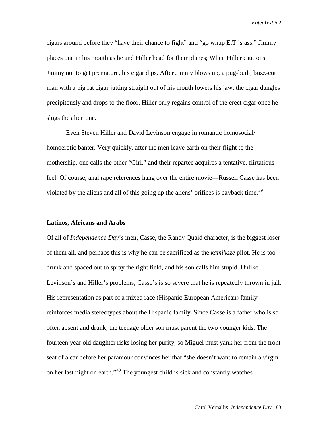cigars around before they "have their chance to fight" and "go whup E.T.'s ass." Jimmy places one in his mouth as he and Hiller head for their planes; When Hiller cautions Jimmy not to get premature, his cigar dips. After Jimmy blows up, a pug-built, buzz-cut man with a big fat cigar jutting straight out of his mouth lowers his jaw; the cigar dangles precipitously and drops to the floor. Hiller only regains control of the erect cigar once he slugs the alien one.

Even Steven Hiller and David Levinson engage in romantic homosocial/ homoerotic banter. Very quickly, after the men leave earth on their flight to the mothership, one calls the other "Girl," and their repartee acquires a tentative, flirtatious feel. Of course, anal rape references hang over the entire movie—Russell Casse has been violated by the aliens and all of this going up the aliens' orifices is payback time.<sup>[39](#page-48-27)</sup>

#### **Latinos, Africans and Arabs**

Of all of *Independence Day*'s men, Casse, the Randy Quaid character, is the biggest loser of them all, and perhaps this is why he can be sacrificed as the *kamikaze* pilot. He is too drunk and spaced out to spray the right field, and his son calls him stupid. Unlike Levinson's and Hiller's problems, Casse's is so severe that he is repeatedly thrown in jail. His representation as part of a mixed race (Hispanic-European American) family reinforces media stereotypes about the Hispanic family. Since Casse is a father who is so often absent and drunk, the teenage older son must parent the two younger kids. The fourteen year old daughter risks losing her purity, so Miguel must yank her from the front seat of a car before her paramour convinces her that "she doesn't want to remain a virgin on her last night on earth."[40](#page-48-28) The youngest child is sick and constantly watches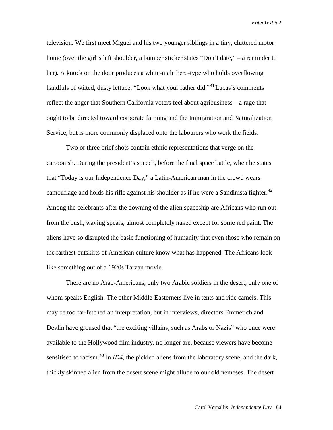television. We first meet Miguel and his two younger siblings in a tiny, cluttered motor home (over the girl's left shoulder, a bumper sticker states "Don't date," – a reminder to her). A knock on the door produces a white-male hero-type who holds overflowing handfuls of wilted, dusty lettuce: "Look what your father did."<sup>[41](#page-48-29)</sup> Lucas's comments reflect the anger that Southern California voters feel about agribusiness—a rage that ought to be directed toward corporate farming and the Immigration and Naturalization Service, but is more commonly displaced onto the labourers who work the fields.

Two or three brief shots contain ethnic representations that verge on the cartoonish. During the president's speech, before the final space battle, when he states that "Today is our Independence Day," a Latin-American man in the crowd wears camouflage and holds his rifle against his shoulder as if he were a Sandinista fighter. $42$ Among the celebrants after the downing of the alien spaceship are Africans who run out from the bush, waving spears, almost completely naked except for some red paint. The aliens have so disrupted the basic functioning of humanity that even those who remain on the farthest outskirts of American culture know what has happened. The Africans look like something out of a 1920s Tarzan movie.

There are no Arab-Americans, only two Arabic soldiers in the desert, only one of whom speaks English. The other Middle-Easterners live in tents and ride camels. This may be too far-fetched an interpretation, but in interviews, directors Emmerich and Devlin have groused that "the exciting villains, such as Arabs or Nazis" who once were available to the Hollywood film industry, no longer are, because viewers have become sensitised to racism.<sup>[43](#page-48-31)</sup> In *ID4*, the pickled aliens from the laboratory scene, and the dark, thickly skinned alien from the desert scene might allude to our old nemeses. The desert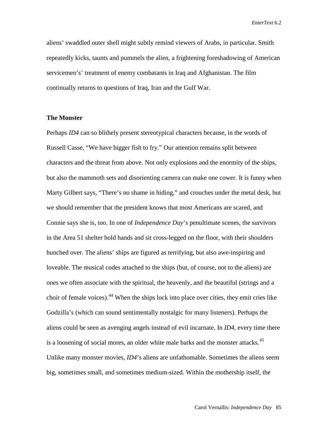aliens' swaddled outer shell might subtly remind viewers of Arabs, in particular. Smith repeatedly kicks, taunts and pummels the alien, a frightening foreshadowing of American servicemen's' treatment of enemy combatants in Iraq and Afghanistan. The film continually returns to questions of Iraq, Iran and the Gulf War.

### **The Monster**

Perhaps *ID4* can so blithely present stereotypical characters because, in the words of Russell Casse, "We have bigger fish to fry." Our attention remains split between characters and the threat from above. Not only explosions and the enormity of the ships, but also the mammoth sets and disorienting camera can make one cower. It is funny when Marty Gilbert says, "There's no shame in hiding," and crouches under the metal desk, but we should remember that the president knows that most Americans are scared, and Connie says she is, too. In one of *Independence Day*'s penultimate scenes, the survivors in the Area 51 shelter hold hands and sit cross-legged on the floor, with their shoulders hunched over. The aliens' ships are figured as terrifying, but also awe-inspiring and loveable. The musical codes attached to the ships (but, of course, not to the aliens) are ones we often associate with the spiritual, the heavenly, and the beautiful (strings and a choir of female voices).  $44$  When the ships lock into place over cities, they emit cries like Godzilla's (which can sound sentimentally nostalgic for many listeners). Perhaps the aliens could be seen as avenging angels instead of evil incarnate. In *ID4*, every time there is a loosening of social mores, an older white male barks and the monster attacks.<sup>[45](#page-48-33)</sup> Unlike many monster movies, *ID4*'s aliens are unfathomable. Sometimes the aliens seem big, sometimes small, and sometimes medium-sized. Within the mothership itself, the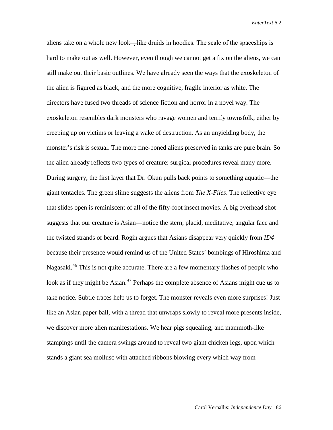aliens take on a whole new look—like druids in hoodies. The scale of the spaceships is hard to make out as well. However, even though we cannot get a fix on the aliens, we can still make out their basic outlines. We have already seen the ways that the exoskeleton of the alien is figured as black, and the more cognitive, fragile interior as white. The directors have fused two threads of science fiction and horror in a novel way. The exoskeleton resembles dark monsters who ravage women and terrify townsfolk, either by creeping up on victims or leaving a wake of destruction. As an unyielding body, the monster's risk is sexual. The more fine-boned aliens preserved in tanks are pure brain. So the alien already reflects two types of creature: surgical procedures reveal many more. During surgery, the first layer that Dr. Okun pulls back points to something aquatic—the giant tentacles. The green slime suggests the aliens from *The X-Files*. The reflective eye that slides open is reminiscent of all of the fifty-foot insect movies. A big overhead shot suggests that our creature is Asian—notice the stern, placid, meditative, angular face and the twisted strands of beard. Rogin argues that Asians disappear very quickly from *ID4*  because their presence would remind us of the United States' bombings of Hiroshima and Nagasaki.<sup>46</sup> This is not quite accurate. There are a few momentary flashes of people who look as if they might be Asian.<sup>47</sup> Perhaps the complete absence of Asians might cue us to take notice. Subtle traces help us to forget. The monster reveals even more surprises! Just like an Asian paper ball, with a thread that unwraps slowly to reveal more presents inside, we discover more alien manifestations. We hear pigs squealing, and mammoth-like stampings until the camera swings around to reveal two giant chicken legs, upon which stands a giant sea mollusc with attached ribbons blowing every which way from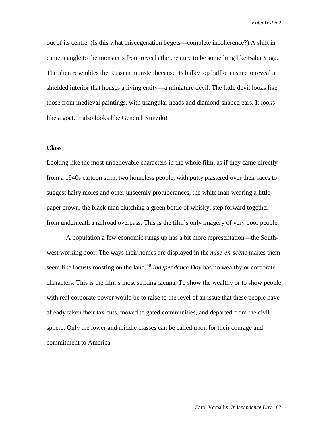out of its centre. (Is this what miscegenation begets—complete incoherence?) A shift in camera angle to the monster's front reveals the creature to be something like Baba Yaga. The alien resembles the Russian monster because its bulky top half opens up to reveal a shielded interior that houses a living entity—a miniature devil. The little devil looks like those from medieval paintings, with triangular heads and diamond-shaped ears. It looks like a goat. It also looks like General Nimziki!

#### **Class**

Looking like the most unbelievable characters in the whole film, as if they came directly from a 1940s cartoon strip, two homeless people, with putty plastered over their faces to suggest hairy moles and other unseemly protuberances, the white man wearing a little paper crown, the black man clutching a green bottle of whisky, step forward together from underneath a railroad overpass. This is the film's only imagery of very poor people.

A population a few economic rungs up has a bit more representation—the Southwest working poor. The ways their homes are displayed in the *mise-en-scène* makes them seem like locusts roosting on the land.<sup>[48](#page-48-36)</sup> *Independence Day* has no wealthy or corporate characters. This is the film's most striking lacuna. To show the wealthy or to show people with real corporate power would be to raise to the level of an issue that these people have already taken their tax cuts, moved to gated communities, and departed from the civil sphere. Only the lower and middle classes can be called upon for their courage and commitment to America.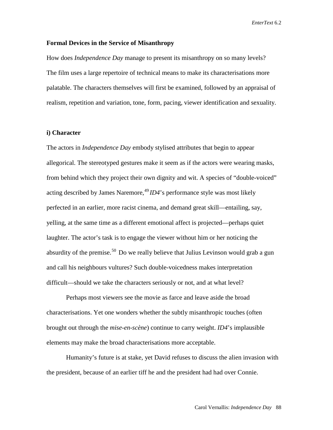### **Formal Devices in the Service of Misanthropy**

How does *Independence Day* manage to present its misanthropy on so many levels? The film uses a large repertoire of technical means to make its characterisations more palatable. The characters themselves will first be examined, followed by an appraisal of realism, repetition and variation, tone, form, pacing, viewer identification and sexuality.

#### **i) Character**

The actors in *Independence Day* embody stylised attributes that begin to appear allegorical. The stereotyped gestures make it seem as if the actors were wearing masks, from behind which they project their own dignity and wit. A species of "double-voiced" acting described by James Naremore,  $^{49}$  $^{49}$  $^{49}$  *ID4*'s performance style was most likely perfected in an earlier, more racist cinema, and demand great skill—entailing, say, yelling, at the same time as a different emotional affect is projected—perhaps quiet laughter. The actor's task is to engage the viewer without him or her noticing the absurdity of the premise.<sup>[50](#page-48-14)</sup> Do we really believe that Julius Levinson would grab a gun and call his neighbours vultures? Such double-voicedness makes interpretation difficult—should we take the characters seriously or not, and at what level?

Perhaps most viewers see the movie as farce and leave aside the broad characterisations. Yet one wonders whether the subtly misanthropic touches (often brought out through the *mise-en-scène*) continue to carry weight. *ID4*'s implausible elements may make the broad characterisations more acceptable.

Humanity's future is at stake, yet David refuses to discuss the alien invasion with the president, because of an earlier tiff he and the president had had over Connie.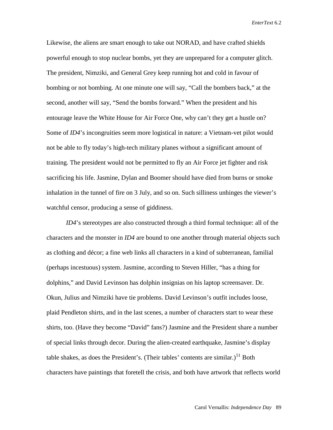Likewise, the aliens are smart enough to take out NORAD, and have crafted shields powerful enough to stop nuclear bombs, yet they are unprepared for a computer glitch. The president, Nimziki, and General Grey keep running hot and cold in favour of bombing or not bombing. At one minute one will say, "Call the bombers back," at the second, another will say, "Send the bombs forward." When the president and his entourage leave the White House for Air Force One, why can't they get a hustle on? Some of *ID4*'s incongruities seem more logistical in nature: a Vietnam-vet pilot would not be able to fly today's high-tech military planes without a significant amount of training. The president would not be permitted to fly an Air Force jet fighter and risk sacrificing his life. Jasmine, Dylan and Boomer should have died from burns or smoke inhalation in the tunnel of fire on 3 July, and so on. Such silliness unhinges the viewer's watchful censor, producing a sense of giddiness.

*ID4*'s stereotypes are also constructed through a third formal technique: all of the characters and the monster in *ID4* are bound to one another through material objects such as clothing and décor; a fine web links all characters in a kind of subterranean, familial (perhaps incestuous) system. Jasmine, according to Steven Hiller, "has a thing for dolphins," and David Levinson has dolphin insignias on his laptop screensaver. Dr. Okun, Julius and Nimziki have tie problems. David Levinson's outfit includes loose, plaid Pendleton shirts, and in the last scenes, a number of characters start to wear these shirts, too. (Have they become "David" fans?) Jasmine and the President share a number of special links through decor. During the alien-created earthquake, Jasmine's display table shakes, as does the President's. (Their tables' contents are similar.)<sup>[51](#page-48-16)</sup> Both characters have paintings that foretell the crisis, and both have artwork that reflects world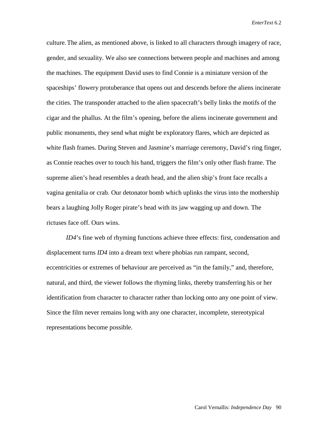culture.The alien, as mentioned above, is linked to all characters through imagery of race, gender, and sexuality. We also see connections between people and machines and among the machines. The equipment David uses to find Connie is a miniature version of the spaceships' flowery protuberance that opens out and descends before the aliens incinerate the cities. The transponder attached to the alien spacecraft's belly links the motifs of the cigar and the phallus. At the film's opening, before the aliens incinerate government and public monuments, they send what might be exploratory flares, which are depicted as white flash frames. During Steven and Jasmine's marriage ceremony, David's ring finger, as Connie reaches over to touch his hand, triggers the film's only other flash frame. The supreme alien's head resembles a death head, and the alien ship's front face recalls a vagina genitalia or crab. Our detonator bomb which uplinks the virus into the mothership bears a laughing Jolly Roger pirate's head with its jaw wagging up and down. The rictuses face off. Ours wins.

*ID4*'s fine web of rhyming functions achieve three effects: first, condensation and displacement turns *ID4* into a dream text where phobias run rampant, second, eccentricities or extremes of behaviour are perceived as "in the family," and, therefore, natural, and third, the viewer follows the rhyming links, thereby transferring his or her identification from character to character rather than locking onto any one point of view. Since the film never remains long with any one character, incomplete, stereotypical representations become possible.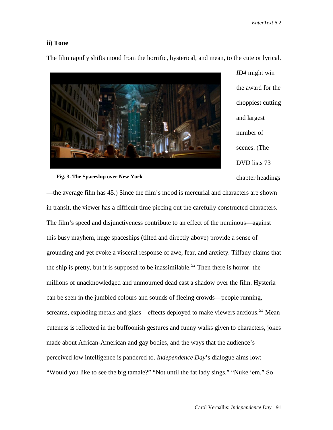# **ii) Tone**

The film rapidly shifts mood from the horrific, hysterical, and mean, to the cute or lyrical.



*ID4* might win the award for the choppiest cutting and largest number of scenes. (The DVD lists 73 chapter headings

 **Fig. 3. The Spaceship over New York**

—the average film has 45.) Since the film's mood is mercurial and characters are shown in transit, the viewer has a difficult time piecing out the carefully constructed characters. The film's speed and disjunctiveness contribute to an effect of the numinous—against this busy mayhem, huge spaceships (tilted and directly above) provide a sense of grounding and yet evoke a visceral response of awe, fear, and anxiety. Tiffany claims that the ship is pretty, but it is supposed to be inassimilable.<sup>52</sup> Then there is horror: the millions of unacknowledged and unmourned dead cast a shadow over the film. Hysteria can be seen in the jumbled colours and sounds of fleeing crowds—people running, screams, exploding metals and glass—effects deployed to make viewers anxious.<sup>[53](#page-48-39)</sup> Mean cuteness is reflected in the buffoonish gestures and funny walks given to characters, jokes made about African-American and gay bodies, and the ways that the audience's perceived low intelligence is pandered to. *Independence Day*'s dialogue aims low: "Would you like to see the big tamale?" "Not until the fat lady sings." "Nuke 'em." So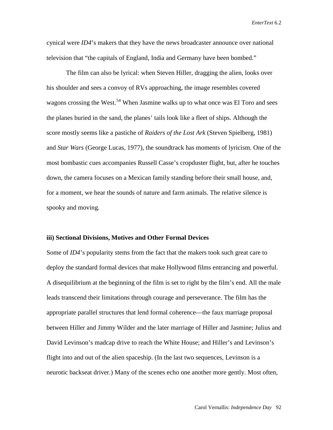cynical were *ID4*'s makers that they have the news broadcaster announce over national television that "the capitals of England, India and Germany have been bombed."

The film can also be lyrical: when Steven Hiller, dragging the alien, looks over his shoulder and sees a convoy of RVs approaching, the image resembles covered wagons crossing the West.<sup>[54](#page-48-40)</sup> When Jasmine walks up to what once was El Toro and sees the planes buried in the sand, the planes' tails look like a fleet of ships. Although the score mostly seems like a pastiche of *Raiders of the Lost Ark* (Steven Spielberg, 1981) and *Star Wars* (George Lucas, 1977), the soundtrack has moments of lyricism. One of the most bombastic cues accompanies Russell Casse's cropduster flight, but, after he touches down, the camera focuses on a Mexican family standing before their small house, and, for a moment, we hear the sounds of nature and farm animals. The relative silence is spooky and moving.

#### **iii) Sectional Divisions, Motives and Other Formal Devices**

Some of *ID4*'s popularity stems from the fact that the makers took such great care to deploy the standard formal devices that make Hollywood films entrancing and powerful. A disequilibrium at the beginning of the film is set to right by the film's end. All the male leads transcend their limitations through courage and perseverance. The film has the appropriate parallel structures that lend formal coherence—the faux marriage proposal between Hiller and Jimmy Wilder and the later marriage of Hiller and Jasmine; Julius and David Levinson's madcap drive to reach the White House; and Hiller's and Levinson's flight into and out of the alien spaceship. (In the last two sequences, Levinson is a neurotic backseat driver.) Many of the scenes echo one another more gently. Most often,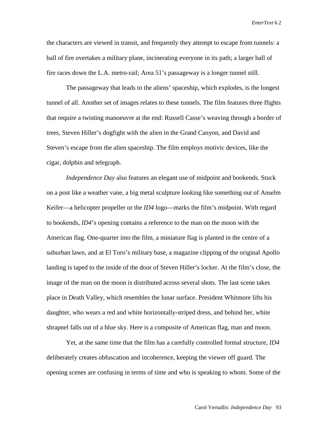the characters are viewed in transit, and frequently they attempt to escape from tunnels: a ball of fire overtakes a military plane, incinerating everyone in its path; a larger ball of fire races down the L.A. metro-rail; Area 51's passageway is a longer tunnel still.

The passageway that leads to the aliens' spaceship, which explodes, is the longest tunnel of all. Another set of images relates to these tunnels. The film features three flights that require a twisting manoeuvre at the end: Russell Casse's weaving through a border of trees, Steven Hiller's dogfight with the alien in the Grand Canyon, and David and Steven's escape from the alien spaceship. The film employs motivic devices, like the cigar, dolphin and telegraph.

*Independence Day* also features an elegant use of midpoint and bookends. Stuck on a post like a weather vane, a big metal sculpture looking like something out of Anselm Keifer—a helicopter propeller or the *ID4* logo—marks the film's midpoint. With regard to bookends, *ID4*'s opening contains a reference to the man on the moon with the American flag. One-quarter into the film, a miniature flag is planted in the centre of a suburban lawn, and at El Toro's military base, a magazine clipping of the original Apollo landing is taped to the inside of the door of Steven Hiller's locker. At the film's close, the image of the man on the moon is distributed across several shots. The last scene takes place in Death Valley, which resembles the lunar surface. President Whitmore lifts his daughter, who wears a red and white horizontally-striped dress, and behind her, white shrapnel falls out of a blue sky. Here is a composite of American flag, man and moon.

Yet, at the same time that the film has a carefully controlled formal structure, *ID4*  deliberately creates obfuscation and incoherence, keeping the viewer off guard. The opening scenes are confusing in terms of time and who is speaking to whom. Some of the

Carol Vernallis: *Independence Day* 93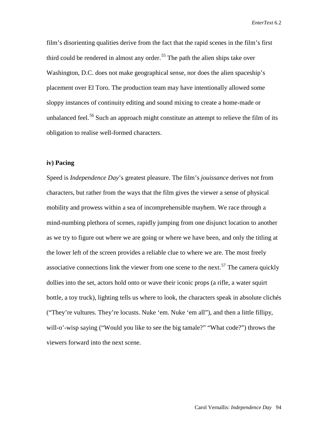film's disorienting qualities derive from the fact that the rapid scenes in the film's first third could be rendered in almost any order.<sup>[55](#page-48-41)</sup> The path the alien ships take over Washington, D.C. does not make geographical sense, nor does the alien spaceship's placement over El Toro. The production team may have intentionally allowed some sloppy instances of continuity editing and sound mixing to create a home-made or unbalanced feel.<sup>[56](#page-48-42)</sup> Such an approach might constitute an attempt to relieve the film of its obligation to realise well-formed characters.

# **iv) Pacing**

Speed is *Independence Day*'s greatest pleasure. The film's *jouissance* derives not from characters, but rather from the ways that the film gives the viewer a sense of physical mobility and prowess within a sea of incomprehensible mayhem. We race through a mind-numbing plethora of scenes, rapidly jumping from one disjunct location to another as we try to figure out where we are going or where we have been, and only the titling at the lower left of the screen provides a reliable clue to where we are. The most freely associative connections link the viewer from one scene to the next.<sup>[57](#page-48-43)</sup> The camera quickly dollies into the set, actors hold onto or wave their iconic props (a rifle, a water squirt bottle, a toy truck), lighting tells us where to look, the characters speak in absolute clichés ("They're vultures. They're locusts. Nuke 'em. Nuke 'em all"), and then a little fillipy, will-o'-wisp saying ("Would you like to see the big tamale?" "What code?") throws the viewers forward into the next scene.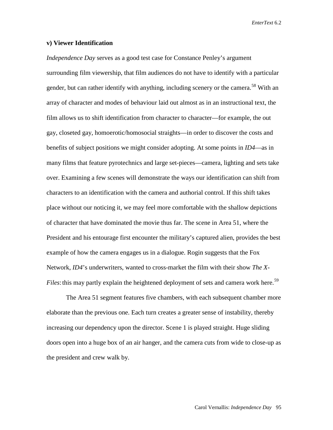#### **v) Viewer Identification**

*Independence Day* serves as a good test case for Constance Penley's argument surrounding film viewership, that film audiences do not have to identify with a particular gender, but can rather identify with anything, including scenery or the camera.<sup>[58](#page-48-44)</sup> With an array of character and modes of behaviour laid out almost as in an instructional text, the film allows us to shift identification from character to character—for example, the out gay, closeted gay, homoerotic/homosocial straights—in order to discover the costs and benefits of subject positions we might consider adopting. At some points in *ID4*—as in many films that feature pyrotechnics and large set-pieces—camera, lighting and sets take over. Examining a few scenes will demonstrate the ways our identification can shift from characters to an identification with the camera and authorial control. If this shift takes place without our noticing it, we may feel more comfortable with the shallow depictions of character that have dominated the movie thus far. The scene in Area 51, where the President and his entourage first encounter the military's captured alien, provides the best example of how the camera engages us in a dialogue. Rogin suggests that the Fox Network, *ID4*'s underwriters, wanted to cross-market the film with their show *The X-Files*: this may partly explain the heightened deployment of sets and camera work here.<sup>[59](#page-48-45)</sup>

The Area 51 segment features five chambers, with each subsequent chamber more elaborate than the previous one. Each turn creates a greater sense of instability, thereby increasing our dependency upon the director. Scene 1 is played straight. Huge sliding doors open into a huge box of an air hanger, and the camera cuts from wide to close-up as the president and crew walk by.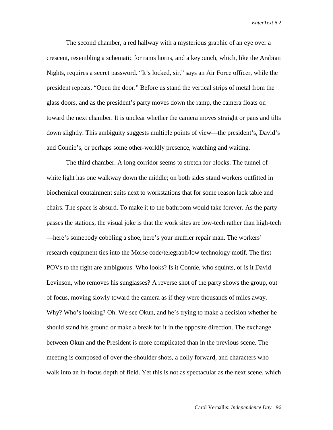The second chamber, a red hallway with a mysterious graphic of an eye over a crescent, resembling a schematic for rams horns, and a keypunch, which, like the Arabian Nights, requires a secret password. "It's locked, sir," says an Air Force officer, while the president repeats, "Open the door." Before us stand the vertical strips of metal from the glass doors, and as the president's party moves down the ramp, the camera floats on toward the next chamber. It is unclear whether the camera moves straight or pans and tilts down slightly. This ambiguity suggests multiple points of view—the president's, David's and Connie's, or perhaps some other-worldly presence, watching and waiting.

The third chamber. A long corridor seems to stretch for blocks. The tunnel of white light has one walkway down the middle; on both sides stand workers outfitted in biochemical containment suits next to workstations that for some reason lack table and chairs. The space is absurd. To make it to the bathroom would take forever. As the party passes the stations, the visual joke is that the work sites are low-tech rather than high-tech —here's somebody cobbling a shoe, here's your muffler repair man. The workers' research equipment ties into the Morse code/telegraph/low technology motif. The first POVs to the right are ambiguous. Who looks? Is it Connie, who squints, or is it David Levinson, who removes his sunglasses? A reverse shot of the party shows the group, out of focus, moving slowly toward the camera as if they were thousands of miles away. Why? Who's looking? Oh. We see Okun, and he's trying to make a decision whether he should stand his ground or make a break for it in the opposite direction. The exchange between Okun and the President is more complicated than in the previous scene. The meeting is composed of over-the-shoulder shots, a dolly forward, and characters who walk into an in-focus depth of field. Yet this is not as spectacular as the next scene, which

Carol Vernallis: *Independence Day* 96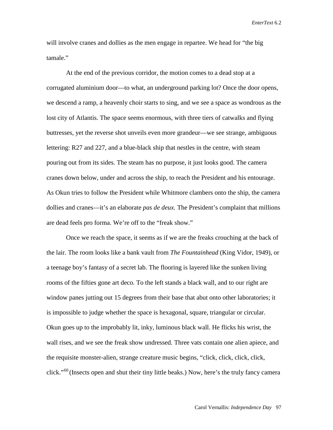will involve cranes and dollies as the men engage in repartee. We head for "the big tamale."

At the end of the previous corridor, the motion comes to a dead stop at a corrugated aluminium door—to what, an underground parking lot? Once the door opens, we descend a ramp, a heavenly choir starts to sing, and we see a space as wondrous as the lost city of Atlantis. The space seems enormous, with three tiers of catwalks and flying buttresses, yet the reverse shot unveils even more grandeur—we see strange, ambiguous lettering: R27 and 227, and a blue-black ship that nestles in the centre, with steam pouring out from its sides. The steam has no purpose, it just looks good. The camera cranes down below, under and across the ship, to reach the President and his entourage. As Okun tries to follow the President while Whitmore clambers onto the ship, the camera dollies and cranes—it's an elaborate *pas de deux.* The President's complaint that millions are dead feels pro forma. We're off to the "freak show."

Once we reach the space, it seems as if we are the freaks crouching at the back of the lair. The room looks like a bank vault from *The Fountainhead* (King Vidor, 1949), or a teenage boy's fantasy of a secret lab. The flooring is layered like the sunken living rooms of the fifties gone art deco. To the left stands a black wall, and to our right are window panes jutting out 15 degrees from their base that abut onto other laboratories; it is impossible to judge whether the space is hexagonal, square, triangular or circular. Okun goes up to the improbably lit, inky, luminous black wall. He flicks his wrist, the wall rises, and we see the freak show undressed. Three vats contain one alien apiece, and the requisite monster-alien, strange creature music begins, "click, click, click, click, click."<sup>[60](#page-48-46)</sup> (Insects open and shut their tiny little beaks.) Now, here's the truly fancy camera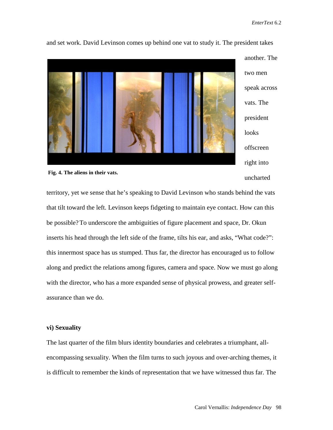

and set work. David Levinson comes up behind one vat to study it. The president takes



uncharted

territory, yet we sense that he's speaking to David Levinson who stands behind the vats that tilt toward the left. Levinson keeps fidgeting to maintain eye contact. How can this be possible?To underscore the ambiguities of figure placement and space, Dr. Okun inserts his head through the left side of the frame, tilts his ear, and asks, "What code?": this innermost space has us stumped. Thus far, the director has encouraged us to follow along and predict the relations among figures, camera and space. Now we must go along with the director, who has a more expanded sense of physical prowess, and greater selfassurance than we do.

## **vi) Sexuality**

The last quarter of the film blurs identity boundaries and celebrates a triumphant, allencompassing sexuality. When the film turns to such joyous and over-arching themes, it is difficult to remember the kinds of representation that we have witnessed thus far. The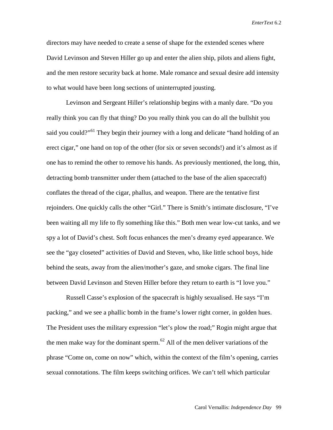directors may have needed to create a sense of shape for the extended scenes where David Levinson and Steven Hiller go up and enter the alien ship, pilots and aliens fight, and the men restore security back at home. Male romance and sexual desire add intensity to what would have been long sections of uninterrupted jousting.

Levinson and Sergeant Hiller's relationship begins with a manly dare. "Do you really think you can fly that thing? Do you really think you can do all the bullshit you said you could?"<sup>[61](#page-48-47)</sup> They begin their journey with a long and delicate "hand holding of an erect cigar," one hand on top of the other (for six or seven seconds!) and it's almost as if one has to remind the other to remove his hands. As previously mentioned, the long, thin, detracting bomb transmitter under them (attached to the base of the alien spacecraft) conflates the thread of the cigar, phallus, and weapon. There are the tentative first rejoinders. One quickly calls the other "Girl." There is Smith's intimate disclosure, "I've been waiting all my life to fly something like this." Both men wear low-cut tanks, and we spy a lot of David's chest. Soft focus enhances the men's dreamy eyed appearance. We see the "gay closeted" activities of David and Steven, who, like little school boys, hide behind the seats, away from the alien/mother's gaze, and smoke cigars. The final line between David Levinson and Steven Hiller before they return to earth is "I love you."

Russell Casse's explosion of the spacecraft is highly sexualised. He says "I'm packing," and we see a phallic bomb in the frame's lower right corner, in golden hues. The President uses the military expression "let's plow the road;" Rogin might argue that the men make way for the dominant sperm.<sup>[62](#page-48-48)</sup> All of the men deliver variations of the phrase "Come on, come on now" which, within the context of the film's opening, carries sexual connotations. The film keeps switching orifices. We can't tell which particular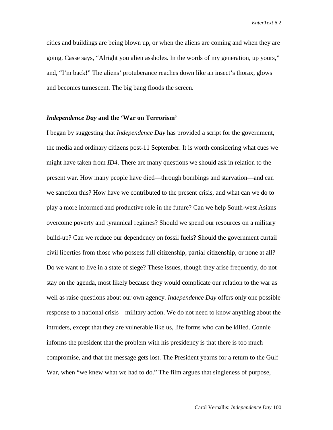cities and buildings are being blown up, or when the aliens are coming and when they are going. Casse says, "Alright you alien assholes. In the words of my generation, up yours," and, "I'm back!" The aliens' protuberance reaches down like an insect's thorax, glows and becomes tumescent. The big bang floods the screen.

#### *Independence Day* **and the 'War on Terrorism'**

I began by suggesting that *Independence Day* has provided a script for the government, the media and ordinary citizens post-11 September. It is worth considering what cues we might have taken from *ID4*. There are many questions we should ask in relation to the present war. How many people have died—through bombings and starvation—and can we sanction this? How have we contributed to the present crisis, and what can we do to play a more informed and productive role in the future? Can we help South-west Asians overcome poverty and tyrannical regimes? Should we spend our resources on a military build-up? Can we reduce our dependency on fossil fuels? Should the government curtail civil liberties from those who possess full citizenship, partial citizenship, or none at all? Do we want to live in a state of siege? These issues, though they arise frequently, do not stay on the agenda, most likely because they would complicate our relation to the war as well as raise questions about our own agency. *Independence Day* offers only one possible response to a national crisis—military action. We do not need to know anything about the intruders, except that they are vulnerable like us, life forms who can be killed. Connie informs the president that the problem with his presidency is that there is too much compromise, and that the message gets lost. The President yearns for a return to the Gulf War, when "we knew what we had to do." The film argues that singleness of purpose,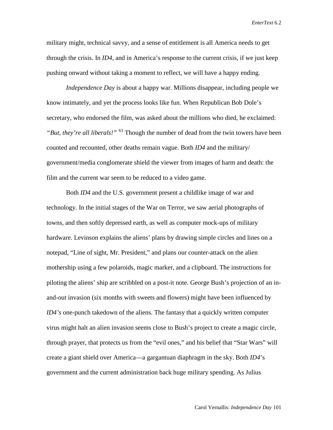military might, technical savvy, and a sense of entitlement is all America needs to get through the crisis. In *ID4*, and in America's response to the current crisis, if we just keep pushing onward without taking a moment to reflect, we will have a happy ending.

*Independence Day* is about a happy war. Millions disappear, including people we know intimately, and yet the process looks like fun. When Republican Bob Dole's secretary, who endorsed the film, was asked about the millions who died, he exclaimed: *"But, they're all liberals!"* <sup>[63](#page-48-49)</sup> Though the number of dead from the twin towers have been counted and recounted, other deaths remain vague. Both *ID4* and the military/ government/media conglomerate shield the viewer from images of harm and death: the film and the current war seem to be reduced to a video game.

Both *ID4* and the U.S. government present a childlike image of war and technology. In the initial stages of the War on Terror, we saw aerial photographs of towns, and then softly depressed earth, as well as computer mock-ups of military hardware. Levinson explains the aliens' plans by drawing simple circles and lines on a notepad, "Line of sight, Mr. President," and plans our counter-attack on the alien mothership using a few polaroids, magic marker, and a clipboard. The instructions for piloting the aliens' ship are scribbled on a post-it note. George Bush's projection of an inand-out invasion (six months with sweets and flowers) might have been influenced by *ID4's* one-punch takedown of the aliens. The fantasy that a quickly written computer virus might halt an alien invasion seems close to Bush's project to create a magic circle, through prayer, that protects us from the "evil ones," and his belief that "Star Wars" will create a giant shield over America—a gargantuan diaphragm in the sky. Both *ID4*'s government and the current administration back huge military spending. As Julius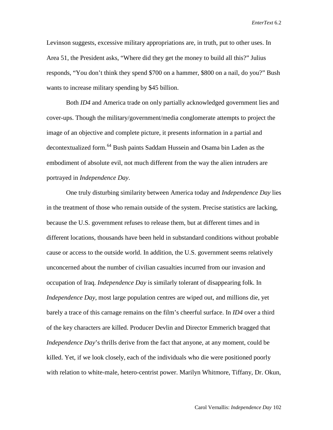Levinson suggests, excessive military appropriations are, in truth, put to other uses. In Area 51, the President asks, "Where did they get the money to build all this?" Julius responds, "You don't think they spend \$700 on a hammer, \$800 on a nail, do you?" Bush wants to increase military spending by \$45 billion.

Both *ID4* and America trade on only partially acknowledged government lies and cover-ups. Though the military/government/media conglomerate attempts to project the image of an objective and complete picture, it presents information in a partial and decontextualized form.<sup>[64](#page-48-50)</sup> Bush paints Saddam Hussein and Osama bin Laden as the embodiment of absolute evil, not much different from the way the alien intruders are portrayed in *Independence Day*.

One truly disturbing similarity between America today and *Independence Day* lies in the treatment of those who remain outside of the system. Precise statistics are lacking, because the U.S. government refuses to release them, but at different times and in different locations, thousands have been held in substandard conditions without probable cause or access to the outside world. In addition, the U.S. government seems relatively unconcerned about the number of civilian casualties incurred from our invasion and occupation of Iraq. *Independence Day* is similarly tolerant of disappearing folk. In *Independence Day*, most large population centres are wiped out, and millions die, yet barely a trace of this carnage remains on the film's cheerful surface. In *ID4* over a third of the key characters are killed. Producer Devlin and Director Emmerich bragged that *Independence Day's* thrills derive from the fact that anyone, at any moment, could be killed. Yet, if we look closely, each of the individuals who die were positioned poorly with relation to white-male, hetero-centrist power. Marilyn Whitmore, Tiffany, Dr. Okun,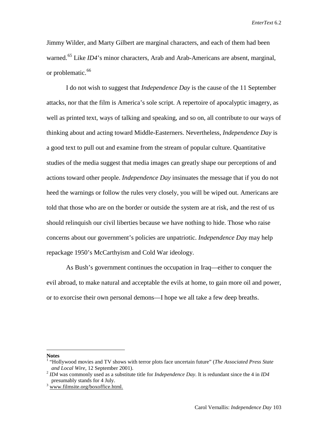Jimmy Wilder, and Marty Gilbert are marginal characters, and each of them had been warned.<sup>[65](#page-48-51)</sup> Like *ID4*'s minor characters, Arab and Arab-Americans are absent, marginal, or problematic.<sup>[66](#page-48-14)</sup>

I do not wish to suggest that *Independence Day* is the cause of the 11 September attacks, nor that the film is America's sole script. A repertoire of apocalyptic imagery, as well as printed text, ways of talking and speaking, and so on, all contribute to our ways of thinking about and acting toward Middle-Easterners. Nevertheless, *Independence Day* is a good text to pull out and examine from the stream of popular culture. Quantitative studies of the media suggest that media images can greatly shape our perceptions of and actions toward other people. *Independence Day* insinuates the message that if you do not heed the warnings or follow the rules very closely, you will be wiped out. Americans are told that those who are on the border or outside the system are at risk, and the rest of us should relinquish our civil liberties because we have nothing to hide. Those who raise concerns about our government's policies are unpatriotic. *Independence Day* may help repackage 1950's McCarthyism and Cold War ideology.

As Bush's government continues the occupation in Iraq—either to conquer the evil abroad, to make natural and acceptable the evils at home, to gain more oil and power, or to exorcise their own personal demons—I hope we all take a few deep breaths.

#### **Notes**

 $\overline{a}$ 

<sup>1</sup> "Hollywood movies and TV shows with terror plots face uncertain future" (*The Associated Press State* 

 $^{2}$  *ID4* was commonly used as a substitute title for *Independence Day*. It is redundant since the 4 in *ID4* presumably stands for 4 July. <sup>3</sup> www.filmsite.org/boxoffice.html.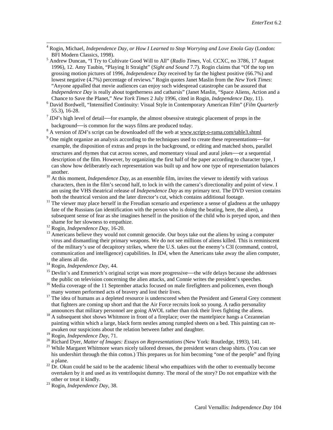- 4 Rogin, Michael, *Independence Day, or How I Learned to Stop Worrying and Love Enola Gay* (London:
- <sup>5</sup> Andrew Duncan, "I Try to Cultivate Good Will to All" (*Radio Times*, Vol. CCXC, no 3786, 17 August 1996), 12. Amy Taubin, "Playing It Straight" (*Sight and Sound* 7.7). Rogin claims that "Of the top ten grossing motion pictures of 1996, *Independence Day* received by far the highest positive (66.7%) and lowest negative (4.7%) percentage of reviews." Rogin quotes Janet Maslin from the *New York Times*: "Anyone appalled that movie audiences can enjoy such widespread catastrophe can be assured that *Independence Day* is really about togetherness and catharsis" (Janet Maslin, "Space Aliens, Action and a Chance to Save the Planet," New York Times 2 July 1996, cited in Rogin, *Independence Day*, 11).
- <sup>6</sup> David Bordwell, "Intensified Continuity: Visual Style in Contemporary American Film" (*Film Quarterly* 55.3), 16-28.
- $7$  *ID4*'s high level of detail—for example, the almost obsessive strategic placement of props in the
- background—is common for the ways films are produced today. 8 A version of *ID4*'s script can be downloaded off the web at www.script-o-rama.com/table3.shtml
- <sup>9</sup> One might organize an analysis according to the techniques used to create these representations—for example, the disposition of extras and props in the background, or editing and matched shots, parallel structures and rhymes that cut across scenes, and momentary visual and aural jokes—or a sequential description of the film. However, by organizing the first half of the paper according to character type, I can show how deliberately each representation was built up and how one type of representation balances
- another. <sup>10</sup> At this moment, *Independence Day*, as an ensemble film, invites the viewer to identify with various characters, then in the film's second half, to lock in with the camera's directionality and point of view. I am using the VHS theatrical release of *Independence Day* as my primary text. The DVD version contains
- <sup>11</sup> The viewer may place herself in the Freudian scenario and experience a sense of gladness at the unhappy fate of the Russians (an identification with the person who is doing the beating, here, the alien), a subsequent sense of fear as she imagines herself in the position of the child who is preyed upon, and then
- 
- shame for her slowness to empathize.<br><sup>12</sup> Rogin, *Independence Day*, 16-20.<br><sup>13</sup> Americans believe they would not commit genocide. Our boys take out the aliens by using a computer virus and dismantling their primary weapons. We do not see millions of aliens killed. This is reminiscent of the military's use of decapitory strikes, where the U.S. takes out the enemy's C3I (command, control, communication and intelligence) capabilities. In *ID4*, when the Americans take away the alien computer,
- the aliens all die. <sup>14</sup> Rogin, *Independence Day*, 44.
- $15$  Devlin's and Emmerich's original script was more progressive—the wife delays because she addresses the public on television concerning the alien attacks, and Connie writes the president's speeches.
- <sup>16</sup> Media coverage of the 11 September attacks focused on male firefighters and policemen, even though many women performed acts of bravery and lost their lives.
- $17$  The idea of humans as a depleted resource is underscored when the President and General Grey comment that fighters are coming up short and that the Air Force recruits look so young. A radio personality announces that military personnel are going AWOL rather than risk their lives fighting the aliens.
- <sup>18</sup> A subsequent shot shows Whitmore in front of a fireplace; over the mantelpiece hangs a Cezanneian painting within which a large, black form nestles among rumpled sheets on a bed. This painting can reawaken our suspicions about the relation between father and daughter.<br> $^{19}$  Rogin, *Independence Day*, 71.
- 
- 
- <sup>20</sup> Richard Dyer, *Matter of Images: Essays on Representations* (New York: Routledge, 1993), 141.<br><sup>21</sup> While Margaret Whitmore wears nicely tailored dresses, the president wears cheap shirts. (You can see his undershirt through the thin cotton.) This prepares us for him becoming "one of the people" and flying
- <span id="page-44-0"></span>a plane.<br><sup>22</sup> Dr. Okun could be said to be the academic liberal who empathizes with the other to eventually become overtaken by it and used as its ventriloquist dummy. The moral of the story? Do not empathize with the
- <span id="page-44-2"></span><span id="page-44-1"></span><sup>23</sup> Rogin, *Independence Day*, 38.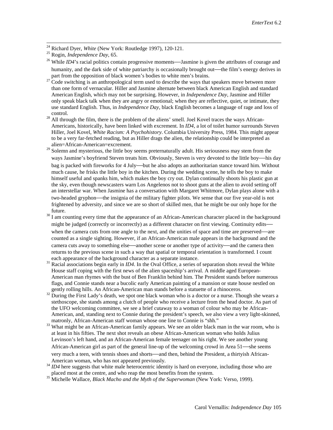<span id="page-45-0"></span><sup>24</sup> Richard Dyer, *White* (New York: Routledge 1997), 120-121. <sup>25</sup> Rogin, *Independence Day*, 65.

- <span id="page-45-1"></span><sup>26</sup> While *ID4*'s racial politics contain progressive moments—Jasmine is given the attributes of courage and humanity, and the dark side of white patriarchy is occasionally brought out—the film's energy derives in
- part from the opposition of black women's bodies to white men's brains.<br><sup>27</sup> Code switching is an anthropological term used to describe the ways that speakers move between more than one form of vernacular. Hiller and Jasmine alternate between black American English and standard American English, which may not be surprising. However, in *Independence Day*, Jasmine and Hiller only speak black talk when they are angry or emotional; when they are reflective, quiet, or intimate, they use standard English. Thus, in *Independence Day*, black English becomes a language of rage and loss of control.<br><sup>28</sup> All through the film, there is the problem of the aliens' smell. Joel Kovel traces the ways African-
- Americans, historically, have been linked with excrement. In *ID4*, a lot of toilet humor surrounds Steven Hiller, Joel Kovel, *White Racism: A Psychohistory*. Columbia University Press, 1984. This might appear to be a very far-fetched reading, but as Hiller drags the alien, the relationship could be interpreted as alien=African-American=excrement.
- <sup>29</sup> Solemn and mysterious, the little boy seems preternaturally adult. His seriousness may stem from the ways Jasmine's boyfriend Steven treats him. Obviously, Steven is very devoted to the little boy—his day bag is packed with fireworks for 4 July—but he also adopts an authoritarian stance toward him. Without much cause, he frisks the little boy in the kitchen. During the wedding scene, he tells the boy to make himself useful and spanks him, which makes the boy cry out. Dylan continually shoots his plastic gun at the sky, even though newscasters warn Los Angelenos not to shoot guns at the alien to avoid setting off an interstellar war. When Jasmine has a conversation with Margaret Whitmore, Dylan plays alone with a two-headed gryphon—the insignia of the military fighter pilots. We sense that our five year-old is not frightened by adversity, and since we are so short of skilled men, that he might be our only hope for the
- future.<br> $30$  I am counting every time that the appearance of an African-American character placed in the background might be judged (correctly or incorrectly) as a different character on first viewing. Continuity edits when the camera cuts from one angle to the next, and the unities of space and time are preserved—are counted as a single sighting. However, if an African-American male appears in the background and the camera cuts away to something else—another scene or another type of activity—and the camera then returns to the previous scene in such a way that spatial or temporal orientation is transformed. I count
- each appearance of the background character as a separate instance.<br><sup>31</sup> Racial associations begin early in *ID4*. In the Oval Office, a series of separation shots reveal the White House staff coping with the first news of the alien spaceship's arrival. A middle aged European-American man rhymes with the bust of Ben Franklin behind him. The President stands before numerous flags, and Connie stands near a bucolic early American painting of a mansion or state house nestled on
- gently rolling hills. An African-American man stands before a statuette of a rhinoceros.<br><sup>32</sup> During the First Lady's death, we spot one black woman who is a doctor or a nurse. Though she wears a stethoscope, she stands among a clutch of people who receive a lecture from the head doctor. As part of the UFO welcoming committee, we see a brief cutaway to a woman of colour who may be African-American, and, standing next to Connie during the president's speech, we also view a very light-skinned,
- matronly, African-American staff woman whose one line to Connie is "shh."<br><sup>33</sup> What might be an African-American family appears. We see an older black man in the war room, who is at least in his fifties. The next shot reveals an obese African-American woman who holds Julius Levinson's left hand, and an African-American female teenager on his right. We see another young African-American girl as part of the general line-up of the welcoming crowd in Area 51—she seems very much a teen, with tennis shoes and shorts—and then, behind the President, a thirtyish African-
- American woman, who has not appeared previously.<br><sup>34</sup> *ID4* here suggests that white male heterocentric identity is hard on everyone, including those who are placed most at the centre, and who reap the most benefits from t
- <sup>35</sup> Michelle Wallace, *Black Macho and the Myth of the Superwoman* (New York: Verso, 1999).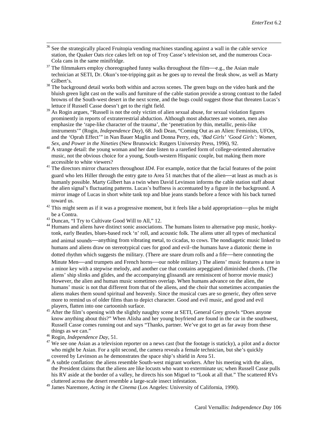- <sup>36</sup> See the strategically placed Fruitopia vending machines standing against a wall in the cable service station, the Quaker Oats rice cakes left on top of Troy Casse's television set, and the numerous Coca-Cola cans in the same minifridge.
- $37$  The filmmakers employ choreographed funny walks throughout the film—e.g., the Asian male technician at SETI, Dr. Okun's toe-tripping gait as he goes up to reveal the freak show, as well as Marty
- Gilbert's.<br><sup>38</sup> The background detail works both within and across scenes. The green bugs on the video bank and the bluish green light cast on the walls and furniture of the cable station provide a strong contrast to the faded browns of the South-west desert in the next scene, and the bugs could suggest those that threaten Lucas's lettuce if Russell Casse doesn't get to the right field.
- <span id="page-46-1"></span><span id="page-46-0"></span><sup>39</sup> As Rogin argues, "Russell is not the only victim of alien sexual abuse, for sexual violation figures prominently in reports of extraterrestrial abduction. Although most abductees are women, men also emphasize the 'rape-like character of the trauma', the 'penetration by thin, metallic, penis-like instruments'" (Rogin, *Independence Day*), 68. Jodi Dean, "Coming Out as an Alien: Feminists, UFOs, and the 'Oprah Effect'" in Nan Bauer Maglin and Donna Perry, eds, *'Bad Girls' 'Good Girls': Women,*
- <sup>40</sup> A strange detail: the young woman and her date listen to a rarefied form of college-oriented alternative music, not the obvious choice for a young, South-western Hispanic couple, but making them more
- $41$ <sup>41</sup> The directors mirror characters throughout *ID4*. For example, notice that the facial features of the point guard who lets Hiller through the entry gate to Area 51 matches that of the alien—at least as much as is humanly possible. Marty Gilbert has a twin when David Levinson informs the cable station staff about the alien signal's fluctuating patterns. Lucas's buffness is accentuated by a figure in the background. A mirror image of Lucas in short white tank top and blue jeans stands before a fence with his back turned toward us.
- $42$  This might seem as if it was a progressive moment, but it feels like a bald appropriation—plus he might
- 

be a Contra.<br><sup>43</sup> Duncan, "I Try to Cultivate Good Will to All," 12.<br><sup>44</sup> Humans and aliens have distinct sonic associations. The humans listen to alternative pop music, honkytonk, early Beatles, blues-based rock 'n' roll, and acoustic folk. The aliens utter all types of mechanical and animal sounds—anything from vibrating metal, to cicadas, to cows. The nondiagetic music linked to humans and aliens draw on stereotypical cues for good and evil−the humans have a diatonic theme in dotted rhythm which suggests the military. (There are snare drum rolls and a fife—here connoting the Minute Men—and trumpets and French horns—our noble military.) The aliens' music features a tune in a minor key with a stepwise melody, and another cue that contains arpeggiated diminished chords. (The aliens' ship slinks and glides, and the accompanying glissandi are reminiscent of horror movie music) However, the alien and human music sometimes overlap. When humans advance on the alien, the humans' music is not that different from that of the aliens, and the choir that sometimes accompanies the aliens makes them sound spiritual and heavenly. Since the musical cues are so generic, they often serve more to remind us of older films than to depict character. Good and evil music, and good and evil

- players, flatten into one cartoonish surface. <sup>45</sup> After the film's opening with the slightly naughty scene at SETI, General Grey growls "Does anyone know anything about this?" When Alisha and her young boyfriend are found in the car in the southwest, Russell Casse comes running out and says "Thanks, partner. We've got to get as far away from these things as we can."
- 
- <sup>46</sup> Rogin, *Independence Day*, 51.<br><sup>47</sup> We see one Asian as a television reporter on a news cast (but the footage is staticky), a pilot and a doctor who might be Asian. For a split second, the camera reveals a female technician, but she's quickly covered by Levinson as he demonstrates the space ship's shield in Area 51.
- <sup>48</sup> A subtle conflation: the aliens resemble South-west migrant workers. After his meeting with the alien, the President claims that the aliens are like locusts who want to exterminate us; when Russell Casse pulls his RV aside at the border of a valley, he directs his son Miguel to "Look at all that." The scattered RVs cluttered across the desert resemble a large-scale insect infestation.
- <sup>49</sup> James Naremore, *Acting in the Cinema* (Los Angeles: University of California, 1990).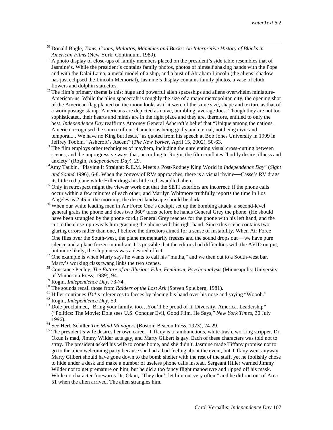- 50 Donald Bogle, *Toms, Coons, Mulattos, Mammies and Bucks: An Interpretive History of Blacks in*
- <sup>51</sup> A photo display of close-ups of family members placed on the president's side table resembles that of Jasmine's. While the president's contains family photos, photos of himself shaking hands with the Pope and with the Dalai Lama, a metal model of a ship, and a bust of Abraham Lincoln (the aliens' shadow has just eclipsed the Lincoln Memorial), Jasmine's display contains family photos, a vase of cloth
- flowers and dolphin statuettes.<br><sup>52</sup> The film's primary theme is this: huge and powerful alien spaceships and aliens overwhelm miniature-American-us. While the alien spacecraft is roughly the size of a major metropolitan city, the opening shot of the American flag planted on the moon looks as if it were of the same size, shape and texture as that of a worn postage stamp. Americans are depicted as naive, bumbling, average Joes. Though they are not too sophisticated, their hearts and minds are in the right place and they are, therefore, entitled to only the best. *Independence Day* reaffirms Attorney General Ashcroft's belief that "Unique among the nations, America recognised the source of our character as being godly and eternal, not being civic and temporal.... We have no King but Jesus," as quoted from his speech at Bob Jones University in 1999 in
- <span id="page-47-1"></span><span id="page-47-0"></span>Jeffrey Toobin, "Ashcroft's Ascent" (*The New Yorker*, April 15, 2002), 50-63.<br><sup>53</sup> The film employs other techniques of mayhem, including the unrelenting visual cross-cutting between scenes, and the unprogressive ways that, according to Rogin, the film conflates "bodily desire, illness and anxiety" (Rogin, *Independence Day*), 29.
- <sup>54</sup>Amy Taubin, "Playing It Straight: R.E.M. Meets a Post-Rodney King World in *Independence Day*" (*Sight and Sound* 1996), 6-8. When the convoy of RVs approaches, there is a visual rhyme—Casse's RV drags its little red plane while Hiller drags his little red swaddled alien.
- $\frac{55}{10}$  Only in retrospect might the viewer work out that the SETI exteriors are incorrect: if the phone calls occur within a few minutes of each other, and Marilyn Whitmore truthfully reports the time in Los
- <sup>56</sup> When our white leading men in Air Force One's cockpit set up the bombing attack, a second-level general grabs the phone and does two 360° turns before he hands General Grey the phone. (He should have been strangled by the phone cord.) General Grey reaches for the phone with his left hand, and the cut to the close-up reveals him grasping the phone with his right hand. Since this scene contains two glaring errors rather than one, I believe the directors aimed for a sense of instability. When Air Force One flies over the South-west, the plane momentarily freezes and the sound drops out—we have pure silence and a plane frozen in mid-air. It's possible that the editors had difficulties with the AVID output,
- but more likely, the sloppiness was a desired effect.<br><sup>57</sup> One example is when Marty says he wants to call his "mutha," and we then cut to a South-west bar.<br>Marty's working class twang links the two scenes.
- <sup>58</sup> Constance Penley, *The Future of an Illusion: Film, Feminism, Psychoanalysis* (Minneapolis: University of Minnesota Press, 1989), 94.<br><sup>59</sup> Rogin, *Independence Day*, 73-74.
- 
- 
- <sup>60</sup> The sounds recall those from *Raiders of the Lost Ark* (Steven Spielberg, 1981).<br>
<sup>61</sup> Hiller continues *ID4*'s references to faeces by placing his hand over his nose and saying "Woooh."<br>
<sup>62</sup> Rogin, *Independence Da*
- 
- ("Politics: The Movie: Dole sees U.S. Conquer Evil, Good Film, He Says," *New York Times*, 30 July
- 
- 1996).<br><sup>64</sup> See Herb Schiller *The Mind Managers* (Boston: Beacon Press, 1973), 24-29.<br><sup>65</sup> The president's wife desires her own career, Tiffany is a rambunctious, white-trash, working stripper, Dr. Okun is mad, Jimmy Wilder acts gay, and Marty Gilbert is gay. Each of these characters was told not to stray. The president asked his wife to come home, and she didn't. Jasmine made Tiffany promise not to go to the alien welcoming party because she had a bad feeling about the event, but Tiffany went anyway. Marty Gilbert should have gone down to the bomb shelter with the rest of the staff, yet he foolishly chose to hide under a desk and make a number of useless phone calls instead. Sergeant Hiller warned Jimmy Wilder not to get premature on him, but he did a too fancy flight manoeuvre and ripped off his mask. While no character forewarns Dr. Okun, "They don't let him out very often," and he did run out of Area 51 when the alien arrived. The alien strangles him.